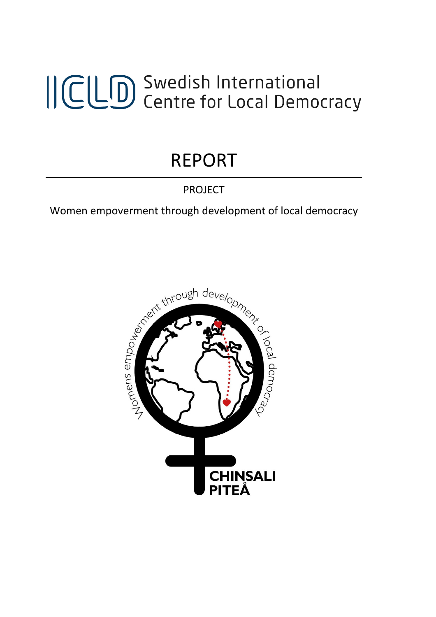# ICLD Swedish International<br>ICLD Centre for Local Democracy

## REPORT

### PROJECT

Women empoverment through development of local democracy

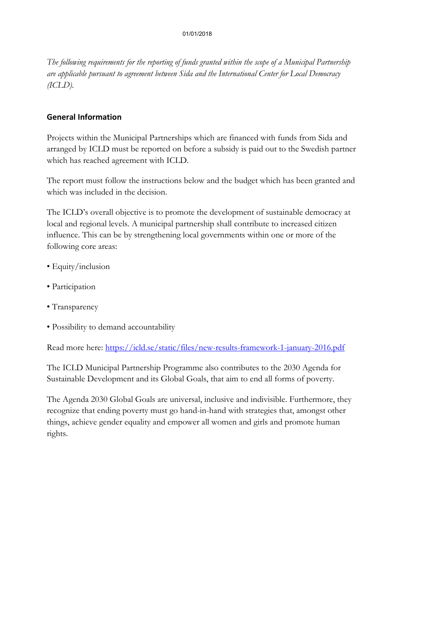*The following requirements for the reporting of funds granted within the scope of a Municipal Partnership are applicable pursuant to agreement between Sida and the International Center for Local Democracy (ICLD).*

#### **General Information**

Projects within the Municipal Partnerships which are financed with funds from Sida and arranged by ICLD must be reported on before a subsidy is paid out to the Swedish partner which has reached agreement with ICLD.

The report must follow the instructions below and the budget which has been granted and which was included in the decision.

The ICLD's overall objective is to promote the development of sustainable democracy at local and regional levels. A municipal partnership shall contribute to increased citizen influence. This can be by strengthening local governments within one or more of the following core areas:

- Equity/inclusion
- Participation
- Transparency
- Possibility to demand accountability

Read more here:<https://icld.se/static/files/new-results-framework-1-january-2016.pdf>

The ICLD Municipal Partnership Programme also contributes to the 2030 Agenda for Sustainable Development and its Global Goals, that aim to end all forms of poverty.

The Agenda 2030 Global Goals are universal, inclusive and indivisible. Furthermore, they recognize that ending poverty must go hand-in-hand with strategies that, amongst other things, achieve gender equality and empower all women and girls and promote human rights.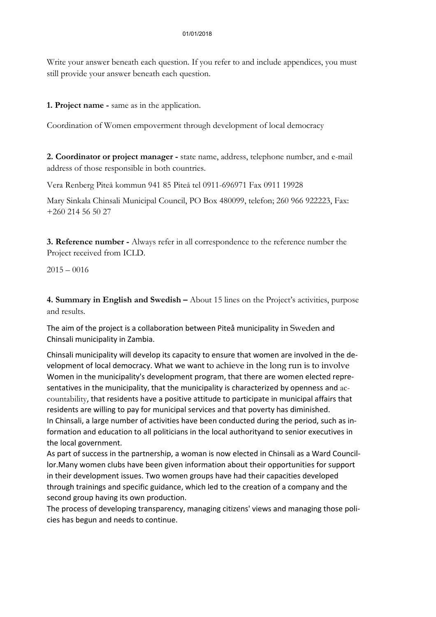Write your answer beneath each question. If you refer to and include appendices, you must still provide your answer beneath each question.

**1. Project name -** same as in the application.

Coordination of Women empoverment through development of local democracy

**2. Coordinator or project manager -** state name, address, telephone number, and e-mail address of those responsible in both countries.

Vera Renberg Piteå kommun 941 85 Piteå tel 0911-696971 Fax 0911 19928

Mary Sinkala Chinsali Municipal Council, PO Box 480099, telefon; 260 966 922223, Fax: +260 214 56 50 27

**3. Reference number -** Always refer in all correspondence to the reference number the Project received from ICLD.

 $2015 - 0016$ 

**4. Summary in English and Swedish –** About 15 lines on the Project's activities, purpose and results.

The aim of the project is a collaboration between Piteå municipality in Sweden and Chinsali municipality in Zambia.

Chinsali municipality will develop its capacity to ensure that women are involved in the development of local democracy. What we want to achieve in the long run is to involve Women in the municipality's development program, that there are women elected representatives in the municipality, that the municipality is characterized by openness and accountability, that residents have a positive attitude to participate in municipal affairs that residents are willing to pay for municipal services and that poverty has diminished. In Chinsali, a large number of activities have been conducted during the period, such as information and education to all politicians in the local authorityand to senior executives in the local government.

As part of success in the partnership, a woman is now elected in Chinsali as a Ward Councillor.Many women clubs have been given information about their opportunities for support in their development issues. Two women groups have had their capacities developed through trainings and specific guidance, which led to the creation of a company and the second group having its own production.

The process of developing transparency, managing citizens' views and managing those policies has begun and needs to continue.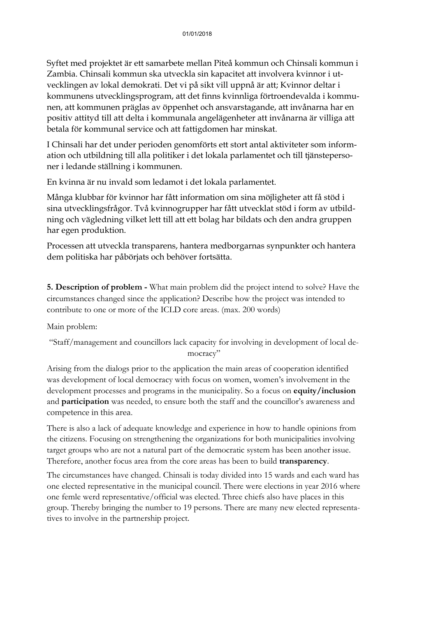Syftet med projektet är ett samarbete mellan Piteå kommun och Chinsali kommun i Zambia. Chinsali kommun ska utveckla sin kapacitet att involvera kvinnor i utvecklingen av lokal demokrati. Det vi på sikt vill uppnå är att; Kvinnor deltar i kommunens utvecklingsprogram, att det finns kvinnliga förtroendevalda i kommunen, att kommunen präglas av öppenhet och ansvarstagande, att invånarna har en positiv attityd till att delta i kommunala angelägenheter att invånarna är villiga att betala för kommunal service och att fattigdomen har minskat.

I Chinsali har det under perioden genomförts ett stort antal aktiviteter som information och utbildning till alla politiker i det lokala parlamentet och till tjänstepersoner i ledande ställning i kommunen.

En kvinna är nu invald som ledamot i det lokala parlamentet.

Många klubbar för kvinnor har fått information om sina möjligheter att få stöd i sina utvecklingsfrågor. Två kvinnogrupper har fått utvecklat stöd i form av utbildning och vägledning vilket lett till att ett bolag har bildats och den andra gruppen har egen produktion.

Processen att utveckla transparens, hantera medborgarnas synpunkter och hantera dem politiska har påbörjats och behöver fortsätta.

**5. Description of problem -** What main problem did the project intend to solve? Have the circumstances changed since the application? Describe how the project was intended to contribute to one or more of the ICLD core areas. (max. 200 words)

Main problem:

"Staff/management and councillors lack capacity for involving in development of local democracy"

Arising from the dialogs prior to the application the main areas of cooperation identified was development of local democracy with focus on women, women's involvement in the development processes and programs in the municipality. So a focus on **equity/inclusion** and **participation** was needed, to ensure both the staff and the councillor's awareness and competence in this area.

There is also a lack of adequate knowledge and experience in how to handle opinions from the citizens. Focusing on strengthening the organizations for both municipalities involving target groups who are not a natural part of the democratic system has been another issue. Therefore, another focus area from the core areas has been to build **transparency**.

The circumstances have changed. Chinsali is today divided into 15 wards and each ward has one elected representative in the municipal council. There were elections in year 2016 where one femle werd representative/official was elected. Three chiefs also have places in this group. Thereby bringing the number to 19 persons. There are many new elected representatives to involve in the partnership project.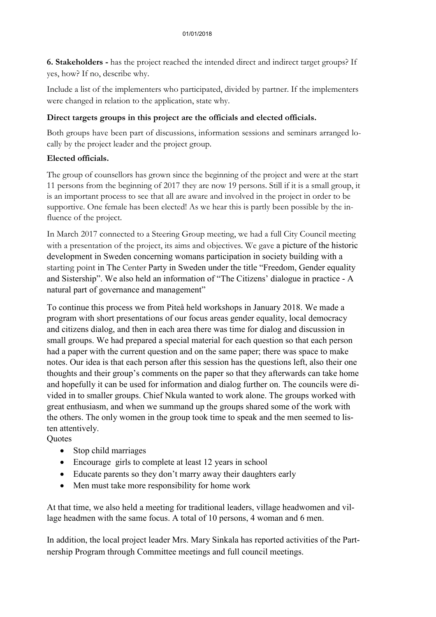**6. Stakeholders -** has the project reached the intended direct and indirect target groups? If yes, how? If no, describe why.

Include a list of the implementers who participated, divided by partner. If the implementers were changed in relation to the application, state why.

#### **Direct targets groups in this project are the officials and elected officials.**

Both groups have been part of discussions, information sessions and seminars arranged locally by the project leader and the project group.

#### **Elected officials.**

The group of counsellors has grown since the beginning of the project and were at the start 11 persons from the beginning of 2017 they are now 19 persons. Still if it is a small group, it is an important process to see that all are aware and involved in the project in order to be supportive. One female has been elected! As we hear this is partly been possible by the influence of the project.

In March 2017 connected to a Steering Group meeting, we had a full City Council meeting with a presentation of the project, its aims and objectives. We gave a picture of the historic development in Sweden concerning womans participation in society building with a starting point in The Center Party in Sweden under the title "Freedom, Gender equality and Sistership". We also held an information of "The Citizens' dialogue in practice - A natural part of governance and management"

To continue this process we from Piteå held workshops in January 2018. We made a program with short presentations of our focus areas gender equality, local democracy and citizens dialog, and then in each area there was time for dialog and discussion in small groups. We had prepared a special material for each question so that each person had a paper with the current question and on the same paper; there was space to make notes. Our idea is that each person after this session has the questions left, also their one thoughts and their group's comments on the paper so that they afterwards can take home and hopefully it can be used for information and dialog further on. The councils were divided in to smaller groups. Chief Nkula wanted to work alone. The groups worked with great enthusiasm, and when we summand up the groups shared some of the work with the others. The only women in the group took time to speak and the men seemed to listen attentively.

**Quotes** 

- Stop child marriages
- Encourage girls to complete at least 12 years in school
- Educate parents so they don't marry away their daughters early
- Men must take more responsibility for home work

At that time, we also held a meeting for traditional leaders, village headwomen and village headmen with the same focus. A total of 10 persons, 4 woman and 6 men.

In addition, the local project leader Mrs. Mary Sinkala has reported activities of the Partnership Program through Committee meetings and full council meetings.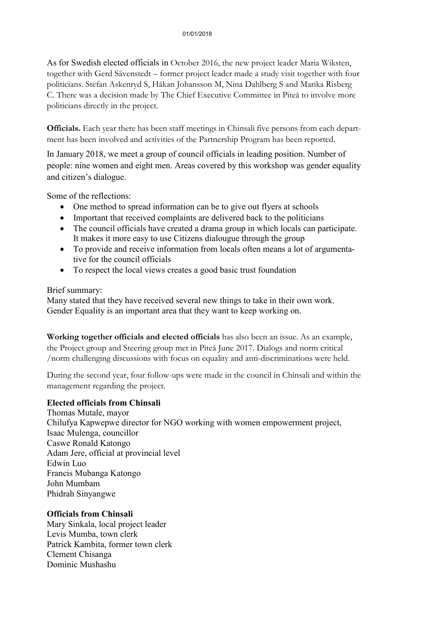As for Swedish elected officials in October 2016, the new project leader Maria Wiksten, together with Gerd Sävenstedt – former project leader made a study visit together with four politicians. Stefan Askenryd S, Håkan Johansson M, Nina Dahlberg S and Marika Risberg C. There was a decision made by The Chief Executive Committee in Piteå to involve more politicians directly in the project.

**Officials.** Each year there has been staff meetings in Chinsali five persons from each department has been involved and activities of the Partnership Program has been reported.

In January 2018, we meet a group of council officials in leading position. Number of people: nine women and eight men. Areas covered by this workshop was gender equality and citizen's dialogue.

Some of the reflections:

- One method to spread information can be to give out flyers at schools
- Important that received complaints are delivered back to the politicians
- The council officials have created a drama group in which locals can participate. It makes it more easy to use Citizens dialougue through the group
- To provide and receive information from locals often means a lot of argumentative for the council officials
- To respect the local views creates a good basic trust foundation

#### Brief summary:

Many stated that they have received several new things to take in their own work. Gender Equality is an important area that they want to keep working on.

**Working together officials and elected officials** has also been an issue. As an example, the Project group and Steering group met in Piteå June 2017. Dialogs and norm critical /norm challenging discussions with focus on equality and anti-discriminations were held.

During the second year, four follow-ups were made in the council in Chinsali and within the management regarding the project.

#### **Elected officials from Chinsali**

Thomas Mutale, mayor Chilufya Kapwepwe director for NGO working with women empowerment project, Isaac Mulenga, councillor Caswe Ronald Katongo Adam Jere, official at provincial level Edwin Luo Francis Mubanga Katongo John Mumbam Phidrah Sinyangwe

#### **Officials from Chinsali**

Mary Sinkala, local project leader Levis Mumba, town clerk Patrick Kambita, former town clerk Clement Chisanga Dominic Mushashu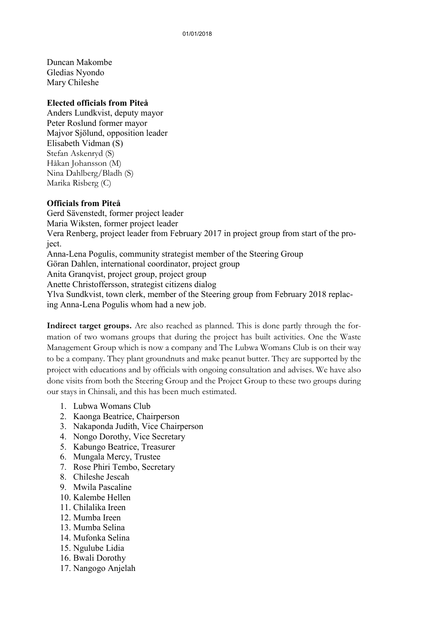Duncan Makombe Gledias Nyondo Mary Chileshe

#### **Elected officials from Piteå**

Anders Lundkvist, deputy mayor Peter Roslund former mayor Majvor Sjölund, opposition leader Elisabeth Vidman (S) Stefan Askenryd (S) Håkan Johansson (M) Nina Dahlberg/Bladh (S) Marika Risberg (C)

#### **Officials from Piteå**

Gerd Sävenstedt, former project leader Maria Wiksten, former project leader Vera Renberg, project leader from February 2017 in project group from start of the project. Anna-Lena Pogulis, community strategist member of the Steering Group Göran Dahlen, international coordinator, project group Anita Granqvist, project group, project group Anette Christoffersson, strategist citizens dialog Ylva Sundkvist, town clerk, member of the Steering group from February 2018 replacing Anna-Lena Pogulis whom had a new job.

**Indirect target groups.** Are also reached as planned. This is done partly through the formation of two womans groups that during the project has built activities. One the Waste Management Group which is now a company and The Lubwa Womans Club is on their way to be a company. They plant groundnuts and make peanut butter. They are supported by the project with educations and by officials with ongoing consultation and advises. We have also done visits from both the Steering Group and the Project Group to these two groups during our stays in Chinsali, and this has been much estimated.

- 1. Lubwa Womans Club
- 2. Kaonga Beatrice, Chairperson
- 3. Nakaponda Judith, Vice Chairperson
- 4. Nongo Dorothy, Vice Secretary
- 5. Kabungo Beatrice, Treasurer
- 6. Mungala Mercy, Trustee
- 7. Rose Phiri Tembo, Secretary
- 8. Chileshe Jescah
- 9. Mwila Pascaline
- 10. Kalembe Hellen
- 11. Chilalika Ireen
- 12. Mumba Ireen
- 13. Mumba Selina
- 14. Mufonka Selina
- 15. Ngulube Lidia
- 16. Bwali Dorothy
- 17. Nangogo Anjelah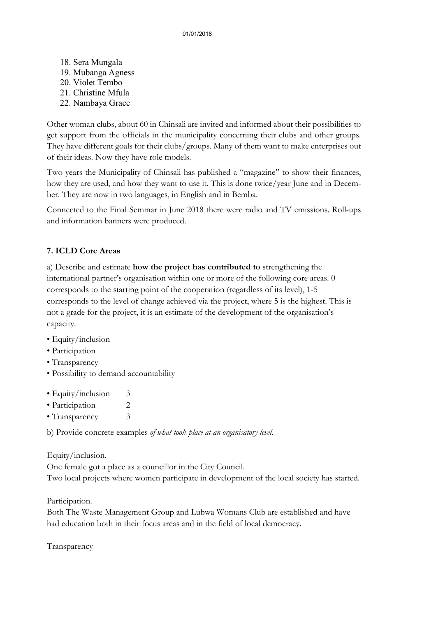18. Sera Mungala 19. Mubanga Agness 20. Violet Tembo 21. Christine Mfula 22. Nambaya Grace

Other woman clubs, about 60 in Chinsali are invited and informed about their possibilities to get support from the officials in the municipality concerning their clubs and other groups. They have different goals for their clubs/groups. Many of them want to make enterprises out of their ideas. Now they have role models.

Two years the Municipality of Chinsali has published a "magazine" to show their finances, how they are used, and how they want to use it. This is done twice/year June and in December. They are now in two languages, in English and in Bemba.

Connected to the Final Seminar in June 2018 there were radio and TV emissions. Roll-ups and information banners were produced.

#### **7. ICLD Core Areas**

a) Describe and estimate **how the project has contributed to** strengthening the international partner's organisation within one or more of the following core areas. 0 corresponds to the starting point of the cooperation (regardless of its level), 1-5 corresponds to the level of change achieved via the project, where 5 is the highest. This is not a grade for the project, it is an estimate of the development of the organisation's capacity.

- Equity/inclusion
- Participation
- Transparency
- Possibility to demand accountability
- Equity/inclusion 3
- Participation 2
- Transparency 3

b) Provide concrete examples *of what took place at an organisatory level.*

Equity/inclusion.

One female got a place as a councillor in the City Council.

Two local projects where women participate in development of the local society has started.

Participation.

Both The Waste Management Group and Lubwa Womans Club are established and have had education both in their focus areas and in the field of local democracy.

Transparency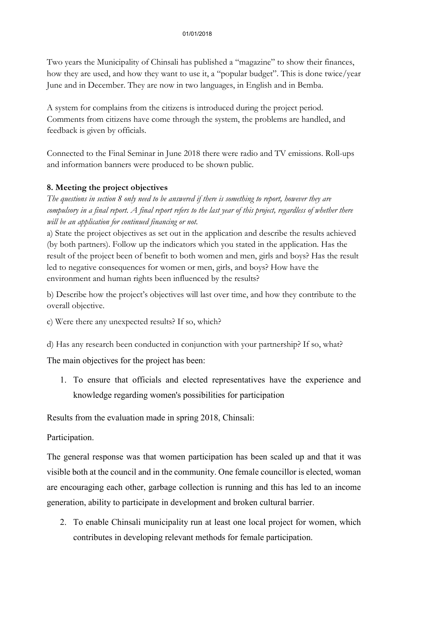Two years the Municipality of Chinsali has published a "magazine" to show their finances, how they are used, and how they want to use it, a "popular budget". This is done twice/year June and in December. They are now in two languages, in English and in Bemba.

A system for complains from the citizens is introduced during the project period. Comments from citizens have come through the system, the problems are handled, and feedback is given by officials.

Connected to the Final Seminar in June 2018 there were radio and TV emissions. Roll-ups and information banners were produced to be shown public.

#### **8. Meeting the project objectives**

*The questions in section 8 only need to be answered if there is something to report, however they are compulsory in a final report. A final report refers to the last year of this project, regardless of whether there will be an application for continued financing or not.* 

a) State the project objectives as set out in the application and describe the results achieved (by both partners). Follow up the indicators which you stated in the application. Has the result of the project been of benefit to both women and men, girls and boys? Has the result led to negative consequences for women or men, girls, and boys? How have the environment and human rights been influenced by the results?

b) Describe how the project's objectives will last over time, and how they contribute to the overall objective.

- c) Were there any unexpected results? If so, which?
- d) Has any research been conducted in conjunction with your partnership? If so, what?

The main objectives for the project has been:

1. To ensure that officials and elected representatives have the experience and knowledge regarding women's possibilities for participation

Results from the evaluation made in spring 2018, Chinsali:

Participation.

The general response was that women participation has been scaled up and that it was visible both at the council and in the community. One female councillor is elected, woman are encouraging each other, garbage collection is running and this has led to an income generation, ability to participate in development and broken cultural barrier.

2. To enable Chinsali municipality run at least one local project for women, which contributes in developing relevant methods for female participation.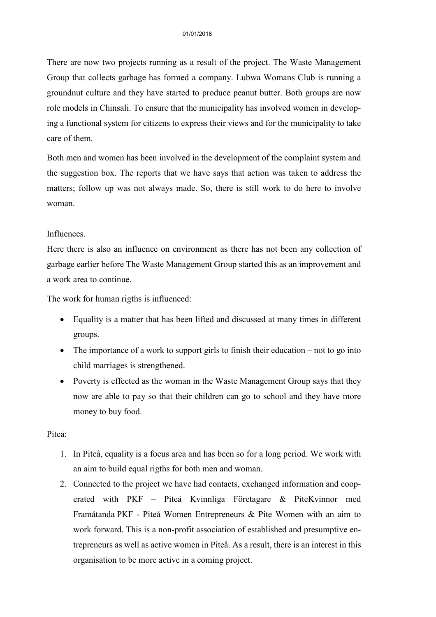There are now two projects running as a result of the project. The Waste Management Group that collects garbage has formed a company. Lubwa Womans Club is running a groundnut culture and they have started to produce peanut butter. Both groups are now role models in Chinsali. To ensure that the municipality has involved women in developing a functional system for citizens to express their views and for the municipality to take care of them.

Both men and women has been involved in the development of the complaint system and the suggestion box. The reports that we have says that action was taken to address the matters; follow up was not always made. So, there is still work to do here to involve woman.

#### Influences.

Here there is also an influence on environment as there has not been any collection of garbage earlier before The Waste Management Group started this as an improvement and a work area to continue.

The work for human rigths is influenced:

- Equality is a matter that has been lifted and discussed at many times in different groups.
- The importance of a work to support girls to finish their education not to go into child marriages is strengthened.
- Poverty is effected as the woman in the Waste Management Group says that they now are able to pay so that their children can go to school and they have more money to buy food.

#### Piteå:

- 1. In Piteå, equality is a focus area and has been so for a long period. We work with an aim to build equal rigths for both men and woman.
- 2. Connected to the project we have had contacts, exchanged information and cooperated with PKF – Piteå Kvinnliga Företagare & PiteKvinnor med Framåtanda PKF - Piteå Women Entrepreneurs & Pite Women with an aim to work forward. This is a non-profit association of established and presumptive entrepreneurs as well as active women in Piteå. As a result, there is an interest in this organisation to be more active in a coming project.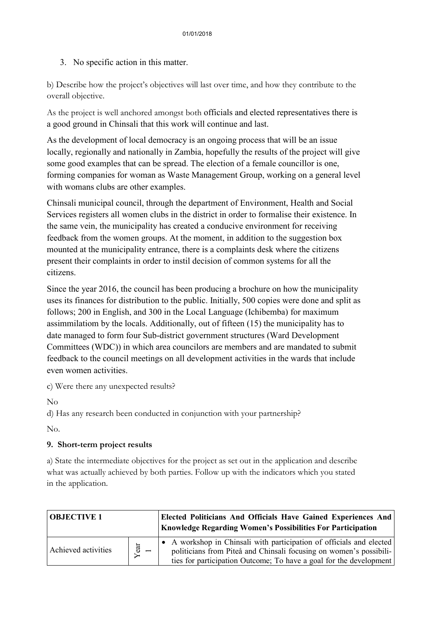3. No specific action in this matter.

b) Describe how the project's objectives will last over time, and how they contribute to the overall objective.

As the project is well anchored amongst both officials and elected representatives there is a good ground in Chinsali that this work will continue and last.

As the development of local democracy is an ongoing process that will be an issue locally, regionally and nationally in Zambia, hopefully the results of the project will give some good examples that can be spread. The election of a female councillor is one, forming companies for woman as Waste Management Group, working on a general level with womans clubs are other examples.

Chinsali municipal council, through the department of Environment, Health and Social Services registers all women clubs in the district in order to formalise their existence. In the same vein, the municipality has created a conducive environment for receiving feedback from the women groups. At the moment, in addition to the suggestion box mounted at the municipality entrance, there is a complaints desk where the citizens present their complaints in order to instil decision of common systems for all the citizens.

Since the year 2016, the council has been producing a brochure on how the municipality uses its finances for distribution to the public. Initially, 500 copies were done and split as follows; 200 in English, and 300 in the Local Language (Ichibemba) for maximum assimmilatiom by the locals. Additionally, out of fifteen (15) the municipality has to date managed to form four Sub-district government structures (Ward Development Committees (WDC)) in which area councilors are members and are mandated to submit feedback to the council meetings on all development activities in the wards that include even women activities.

c) Were there any unexpected results?

No

d) Has any research been conducted in conjunction with your partnership?

No.

#### **9. Short-term project results**

a) State the intermediate objectives for the project as set out in the application and describe what was actually achieved by both parties. Follow up with the indicators which you stated in the application.

| <b>OBJECTIVE 1</b>  |               | Elected Politicians And Officials Have Gained Experiences And<br><b>Knowledge Regarding Women's Possibilities For Participation</b>                                                                              |
|---------------------|---------------|------------------------------------------------------------------------------------------------------------------------------------------------------------------------------------------------------------------|
| Achieved activities | $\frac{1}{2}$ | • A workshop in Chinsali with participation of officials and elected<br>politicians from Piteå and Chinsali focusing on women's possibili-<br>ties for participation Outcome; To have a goal for the development |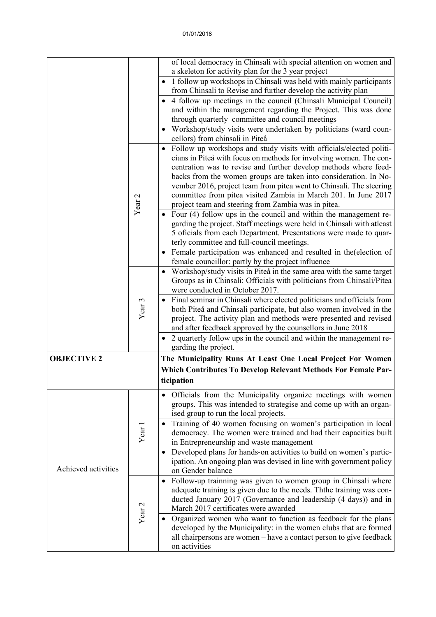|                     |                   | of local democracy in Chinsali with special attention on women and                                                                         |  |  |
|---------------------|-------------------|--------------------------------------------------------------------------------------------------------------------------------------------|--|--|
|                     |                   | a skeleton for activity plan for the 3 year project<br>1 follow up workshops in Chinsali was held with mainly participants                 |  |  |
|                     |                   | from Chinsali to Revise and further develop the activity plan                                                                              |  |  |
|                     |                   | 4 follow up meetings in the council (Chinsali Municipal Council)                                                                           |  |  |
|                     |                   | and within the management regarding the Project. This was done<br>through quarterly committee and council meetings                         |  |  |
|                     |                   | Workshop/study visits were undertaken by politicians (ward coun-                                                                           |  |  |
|                     |                   | cellors) from chinsali in Piteå                                                                                                            |  |  |
|                     |                   | Follow up workshops and study visits with officials/elected politi-                                                                        |  |  |
|                     |                   | cians in Piteå with focus on methods for involving women. The con-<br>centration was to revise and further develop methods where feed-     |  |  |
|                     |                   | backs from the women groups are taken into consideration. In No-                                                                           |  |  |
|                     |                   | vember 2016, project team from pitea went to Chinsali. The steering                                                                        |  |  |
|                     |                   | committee from pitea visited Zambia in March 201. In June 2017                                                                             |  |  |
|                     | Year <sub>2</sub> | project team and steering from Zambia was in pitea.                                                                                        |  |  |
|                     |                   | Four (4) follow ups in the council and within the management re-<br>garding the project. Staff meetings were held in Chinsali with atleast |  |  |
|                     |                   | 5 oficials from each Department. Presentations were made to quar-                                                                          |  |  |
|                     |                   | terly committee and full-council meetings.                                                                                                 |  |  |
|                     |                   | Female participation was enhanced and resulted in the (election of                                                                         |  |  |
|                     |                   | female councillor: partly by the project influence                                                                                         |  |  |
|                     |                   | Workshop/study visits in Piteå in the same area with the same target                                                                       |  |  |
|                     |                   | Groups as in Chinsali: Officials with politicians from Chinsali/Pitea<br>were conducted in October 2017.                                   |  |  |
|                     |                   | • Final seminar in Chinsali where elected politicians and officials from                                                                   |  |  |
|                     | Year <sub>3</sub> | both Piteå and Chinsali participate, but also women involved in the                                                                        |  |  |
|                     |                   | project. The activity plan and methods were presented and revised                                                                          |  |  |
|                     |                   | and after feedback approved by the counsellors in June 2018                                                                                |  |  |
|                     |                   | 2 quarterly follow ups in the council and within the management re-<br>garding the project.                                                |  |  |
| <b>OBJECTIVE 2</b>  |                   | The Municipality Runs At Least One Local Project For Women                                                                                 |  |  |
|                     |                   | <b>Which Contributes To Develop Relevant Methods For Female Par-</b>                                                                       |  |  |
|                     |                   | ticipation                                                                                                                                 |  |  |
|                     |                   | Officials from the Municipality organize meetings with women                                                                               |  |  |
|                     |                   | groups. This was intended to strategise and come up with an organ-                                                                         |  |  |
|                     | Year 1            | ised group to run the local projects.                                                                                                      |  |  |
|                     |                   | Training of 40 women focusing on women's participation in local                                                                            |  |  |
| Achieved activities |                   | democracy. The women were trained and had their capacities built<br>in Entrepreneurship and waste management                               |  |  |
|                     |                   | Developed plans for hands-on activities to build on women's partic-                                                                        |  |  |
|                     |                   | ipation. An ongoing plan was devised in line with government policy                                                                        |  |  |
|                     |                   | on Gender balance                                                                                                                          |  |  |
|                     |                   | Follow-up trainning was given to women group in Chinsali where                                                                             |  |  |
|                     | Year <sub>2</sub> | adequate training is given due to the needs. Ththe training was con-                                                                       |  |  |
|                     |                   | ducted January 2017 (Governance and leadership (4 days)) and in<br>March 2017 certificates were awarded                                    |  |  |
|                     |                   | Organized women who want to function as feedback for the plans                                                                             |  |  |
|                     |                   | developed by the Municipality: in the women clubs that are formed                                                                          |  |  |
|                     |                   | all chairpersons are women – have a contact person to give feedback                                                                        |  |  |
|                     |                   | on activities                                                                                                                              |  |  |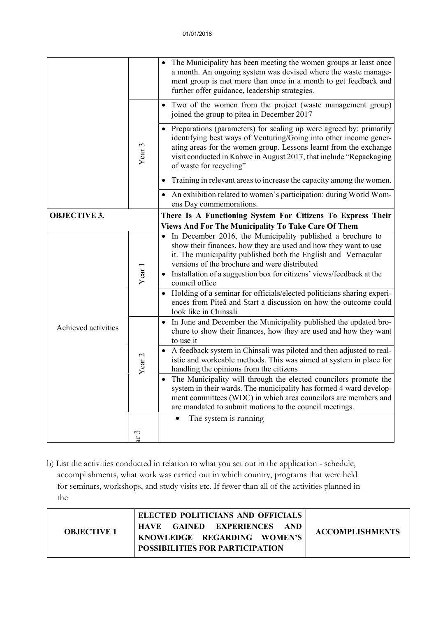|                     |                      | The Municipality has been meeting the women groups at least once<br>a month. An ongoing system was devised where the waste manage-<br>ment group is met more than once in a month to get feedback and<br>further offer guidance, leadership strategies.                                                                                      |  |
|---------------------|----------------------|----------------------------------------------------------------------------------------------------------------------------------------------------------------------------------------------------------------------------------------------------------------------------------------------------------------------------------------------|--|
|                     | Year <sub>3</sub>    | Two of the women from the project (waste management group)<br>joined the group to pitea in December 2017                                                                                                                                                                                                                                     |  |
|                     |                      | Preparations (parameters) for scaling up were agreed by: primarily<br>identifying best ways of Venturing/Going into other income gener-<br>ating areas for the women group. Lessons learnt from the exchange<br>visit conducted in Kabwe in August 2017, that include "Repackaging<br>of waste for recycling"                                |  |
|                     |                      | Training in relevant areas to increase the capacity among the women.                                                                                                                                                                                                                                                                         |  |
|                     |                      | An exhibition related to women's participation: during World Wom-<br>$\bullet$<br>ens Day commemorations.                                                                                                                                                                                                                                    |  |
| <b>OBJECTIVE 3.</b> |                      | There Is A Functioning System For Citizens To Express Their                                                                                                                                                                                                                                                                                  |  |
|                     |                      | <b>Views And For The Municipality To Take Care Of Them</b>                                                                                                                                                                                                                                                                                   |  |
|                     | Year 1               | • In December 2016, the Municipality published a brochure to<br>show their finances, how they are used and how they want to use<br>it. The municipality published both the English and Vernacular<br>versions of the brochure and were distributed<br>Installation of a suggestion box for citizens' views/feedback at the<br>council office |  |
| Achieved activities |                      | Holding of a seminar for officials/elected politicians sharing experi-<br>ences from Piteå and Start a discussion on how the outcome could<br>look like in Chinsali                                                                                                                                                                          |  |
|                     | Year <sub>2</sub>    | In June and December the Municipality published the updated bro-<br>$\bullet$<br>chure to show their finances, how they are used and how they want<br>to use it                                                                                                                                                                              |  |
|                     |                      | • A feedback system in Chinsali was piloted and then adjusted to real-<br>istic and workeable methods. This was aimed at system in place for<br>handling the opinions from the citizens                                                                                                                                                      |  |
|                     |                      | The Municipality will through the elected councilors promote the<br>system in their wards. The municipality has formed 4 ward develop-<br>ment committees (WDC) in which area councilors are members and<br>are mandated to submit motions to the council meetings.                                                                          |  |
|                     |                      | The system is running                                                                                                                                                                                                                                                                                                                        |  |
|                     | $\omega$<br>$\sharp$ |                                                                                                                                                                                                                                                                                                                                              |  |

b) List the activities conducted in relation to what you set out in the application - schedule, accomplishments, what work was carried out in which country, programs that were held for seminars, workshops, and study visits etc. If fewer than all of the activities planned in the

| <b>OBJECTIVE 1</b> | ELECTED POLITICIANS AND OFFICIALS<br><b>HAVE GAINED EXPERIENCES</b><br>AND -<br>KNOWLEDGE REGARDING WOMEN'S<br><b>POSSIBILITIES FOR PARTICIPATION</b> | <b>ACCOMPLISHMENTS</b> |
|--------------------|-------------------------------------------------------------------------------------------------------------------------------------------------------|------------------------|
|--------------------|-------------------------------------------------------------------------------------------------------------------------------------------------------|------------------------|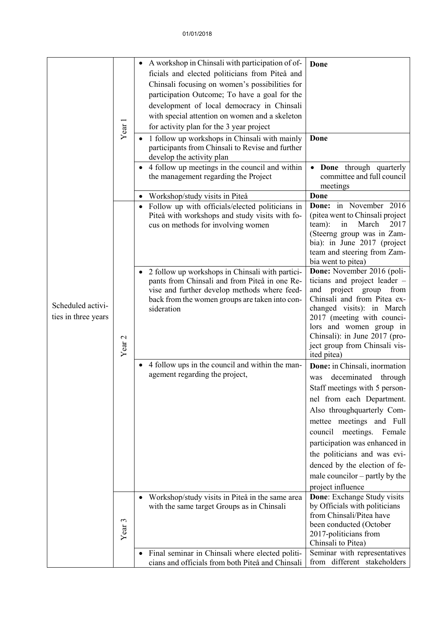|                     |                   | A workshop in Chinsali with participation of of-<br>$\bullet$                                 | Done                                                             |
|---------------------|-------------------|-----------------------------------------------------------------------------------------------|------------------------------------------------------------------|
|                     |                   | ficials and elected politicians from Piteå and                                                |                                                                  |
|                     |                   | Chinsali focusing on women's possibilities for                                                |                                                                  |
|                     |                   | participation Outcome; To have a goal for the                                                 |                                                                  |
|                     |                   | development of local democracy in Chinsali                                                    |                                                                  |
|                     |                   | with special attention on women and a skeleton                                                |                                                                  |
|                     |                   | for activity plan for the 3 year project                                                      |                                                                  |
|                     | Year 1            | 1 follow up workshops in Chinsali with mainly                                                 | Done                                                             |
|                     |                   | participants from Chinsali to Revise and further                                              |                                                                  |
|                     |                   | develop the activity plan                                                                     |                                                                  |
|                     |                   | • 4 follow up meetings in the council and within                                              | • Done through quarterly                                         |
|                     |                   | the management regarding the Project                                                          | committee and full council                                       |
|                     |                   |                                                                                               | meetings                                                         |
|                     |                   | Workshop/study visits in Piteå<br>٠                                                           | Done                                                             |
|                     |                   | Follow up with officials/elected politicians in                                               | Done: in November 2016                                           |
|                     |                   | Piteå with workshops and study visits with fo-<br>cus on methods for involving women          | (pitea went to Chinsali project<br>team):<br>in<br>March<br>2017 |
|                     |                   |                                                                                               | (Steerng group was in Zam-                                       |
|                     |                   |                                                                                               | bia): in June 2017 (project                                      |
|                     |                   |                                                                                               | team and steering from Zam-                                      |
|                     |                   |                                                                                               | bia went to pitea)                                               |
|                     |                   | 2 follow up workshops in Chinsali with partici-                                               | Done: November 2016 (poli-                                       |
|                     | Year <sub>2</sub> | pants from Chinsali and from Piteå in one Re-<br>vise and further develop methods where feed- | ticians and project leader -<br>project group<br>and<br>from     |
|                     |                   | back from the women groups are taken into con-                                                | Chinsali and from Pitea ex-                                      |
| Scheduled activi-   |                   | sideration                                                                                    | changed visits): in March                                        |
| ties in three years |                   |                                                                                               | 2017 (meeting with counci-                                       |
|                     |                   |                                                                                               | lors and women group in                                          |
|                     |                   |                                                                                               | Chinsali): in June 2017 (pro-<br>ject group from Chinsali vis-   |
|                     |                   |                                                                                               | ited pitea)                                                      |
|                     |                   | 4 follow ups in the council and within the man-                                               | Done: in Chinsali, inormation                                    |
|                     |                   | agement regarding the project,                                                                | deceminated<br>through<br>was                                    |
|                     |                   |                                                                                               | Staff meetings with 5 person-                                    |
|                     |                   |                                                                                               | nel from each Department.                                        |
|                     |                   |                                                                                               | Also throughquarterly Com-                                       |
|                     |                   |                                                                                               | mettee meetings and Full                                         |
|                     |                   |                                                                                               | council meetings. Female                                         |
|                     |                   |                                                                                               | participation was enhanced in                                    |
|                     |                   |                                                                                               | the politicians and was evi-                                     |
|                     |                   |                                                                                               | denced by the election of fe-                                    |
|                     |                   |                                                                                               | male councilor $-$ partly by the                                 |
|                     |                   |                                                                                               | project influence                                                |
|                     | Year <sub>3</sub> | Workshop/study visits in Piteå in the same area                                               | Done: Exchange Study visits                                      |
|                     |                   | with the same target Groups as in Chinsali                                                    | by Officials with politicians                                    |
|                     |                   |                                                                                               | from Chinsali/Pitea have                                         |
|                     |                   |                                                                                               | been conducted (October                                          |
|                     |                   |                                                                                               | 2017-politicians from<br>Chinsali to Pitea)                      |
|                     |                   | Final seminar in Chinsali where elected politi-<br>٠                                          | Seminar with representatives                                     |
|                     |                   | cians and officials from both Piteå and Chinsali                                              | from different stakeholders                                      |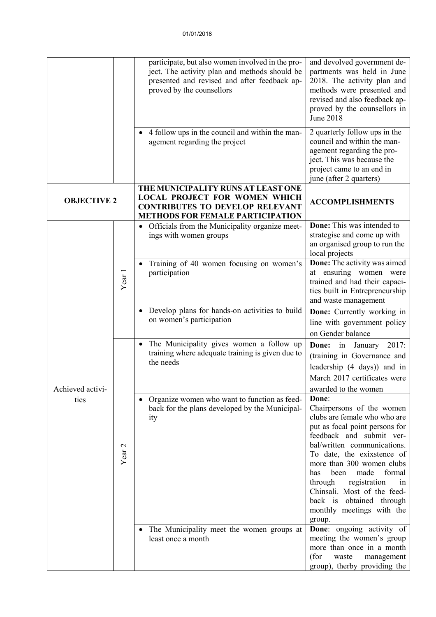|                          |                   | participate, but also women involved in the pro-<br>ject. The activity plan and methods should be<br>presented and revised and after feedback ap-<br>proved by the counsellors | and devolved government de-<br>partments was held in June<br>2018. The activity plan and<br>methods were presented and<br>revised and also feedback ap-<br>proved by the counsellors in<br><b>June 2018</b>                                                                                                                                                                                    |
|--------------------------|-------------------|--------------------------------------------------------------------------------------------------------------------------------------------------------------------------------|------------------------------------------------------------------------------------------------------------------------------------------------------------------------------------------------------------------------------------------------------------------------------------------------------------------------------------------------------------------------------------------------|
|                          |                   | • 4 follow ups in the council and within the man-<br>agement regarding the project                                                                                             | 2 quarterly follow ups in the<br>council and within the man-<br>agement regarding the pro-<br>ject. This was because the<br>project came to an end in<br>june (after 2 quarters)                                                                                                                                                                                                               |
| <b>OBJECTIVE 2</b>       |                   | THE MUNICIPALITY RUNS AT LEAST ONE<br><b>LOCAL PROJECT FOR WOMEN WHICH</b><br><b>CONTRIBUTES TO DEVELOP RELEVANT</b><br><b>METHODS FOR FEMALE PARTICIPATION</b>                | <b>ACCOMPLISHMENTS</b>                                                                                                                                                                                                                                                                                                                                                                         |
| Achieved activi-<br>ties | Year <sub>1</sub> | • Officials from the Municipality organize meet-<br>ings with women groups                                                                                                     | Done: This was intended to<br>strategise and come up with<br>an organised group to run the<br>local projects                                                                                                                                                                                                                                                                                   |
|                          |                   | Training of 40 women focusing on women's<br>participation                                                                                                                      | <b>Done:</b> The activity was aimed<br>at ensuring women were<br>trained and had their capaci-<br>ties built in Entrepreneurship<br>and waste management                                                                                                                                                                                                                                       |
|                          |                   | • Develop plans for hands-on activities to build<br>on women's participation                                                                                                   | Done: Currently working in<br>line with government policy<br>on Gender balance                                                                                                                                                                                                                                                                                                                 |
|                          | Year <sub>2</sub> | The Municipality gives women a follow up<br>training where adequate training is given due to<br>the needs                                                                      | Done: in January 2017:<br>(training in Governance and<br>leadership (4 days)) and in<br>March 2017 certificates were<br>awarded to the women                                                                                                                                                                                                                                                   |
|                          |                   | Organize women who want to function as feed-<br>back for the plans developed by the Municipal-<br>ity                                                                          | Done:<br>Chairpersons of the women<br>clubs are female who who are<br>put as focal point persons for<br>feedback and submit ver-<br>bal/written communications.<br>To date, the exixstence of<br>more than 300 women clubs<br>been<br>made<br>formal<br>has<br>registration<br>through<br>in<br>Chinsali. Most of the feed-<br>back is obtained through<br>monthly meetings with the<br>group. |
|                          |                   | • The Municipality meet the women groups at<br>least once a month                                                                                                              | Done: ongoing activity of<br>meeting the women's group<br>more than once in a month<br>(for<br>waste<br>management<br>group), therby providing the                                                                                                                                                                                                                                             |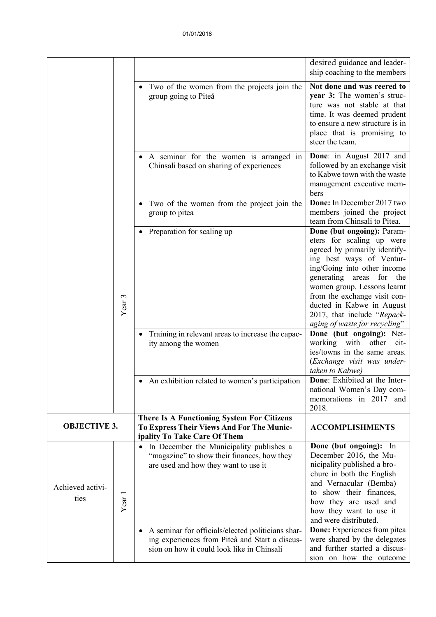|                          |                   |                                                                                                                                                   | desired guidance and leader-<br>ship coaching to the members                                                                                                                                                                                                                                                                                |
|--------------------------|-------------------|---------------------------------------------------------------------------------------------------------------------------------------------------|---------------------------------------------------------------------------------------------------------------------------------------------------------------------------------------------------------------------------------------------------------------------------------------------------------------------------------------------|
|                          |                   | Two of the women from the projects join the<br>group going to Piteå                                                                               | Not done and was reered to<br>year 3: The women's struc-<br>ture was not stable at that<br>time. It was deemed prudent<br>to ensure a new structure is in<br>place that is promising to<br>steer the team.                                                                                                                                  |
|                          |                   | A seminar for the women is arranged in<br>Chinsali based on sharing of experiences                                                                | Done: in August 2017 and<br>followed by an exchange visit<br>to Kabwe town with the waste<br>management executive mem-<br>bers                                                                                                                                                                                                              |
|                          |                   | Two of the women from the project join the<br>$\bullet$<br>group to pitea                                                                         | Done: In December 2017 two<br>members joined the project<br>team from Chinsali to Pitea.                                                                                                                                                                                                                                                    |
|                          | Year <sub>3</sub> | Preparation for scaling up                                                                                                                        | Done (but ongoing): Param-<br>eters for scaling up were<br>agreed by primarily identify-<br>ing best ways of Ventur-<br>ing/Going into other income<br>generating areas for the<br>women group. Lessons learnt<br>from the exchange visit con-<br>ducted in Kabwe in August<br>2017, that include "Repack-<br>aging of waste for recycling" |
|                          |                   | Training in relevant areas to increase the capac-<br>ity among the women                                                                          | Done (but ongoing): Net-<br>working with other<br>$cit-$<br>ies/towns in the same areas.<br>(Exchange visit was under-<br>taken to Kabwe)                                                                                                                                                                                                   |
|                          |                   | • An exhibition related to women's participation                                                                                                  | <b>Done:</b> Exhibited at the Inter-<br>national Women's Day com-<br>memorations in 2017 and<br>2018.                                                                                                                                                                                                                                       |
| <b>OBJECTIVE 3.</b>      |                   | There Is A Functioning System For Citizens<br><b>To Express Their Views And For The Munic-</b><br>ipality To Take Care Of Them                    | <b>ACCOMPLISHMENTS</b>                                                                                                                                                                                                                                                                                                                      |
| Achieved activi-<br>ties | Year <sub>1</sub> | In December the Municipality publishes a<br>٠<br>"magazine" to show their finances, how they<br>are used and how they want to use it              | Done (but ongoing): In<br>December 2016, the Mu-<br>nicipality published a bro-<br>chure in both the English<br>and Vernacular (Bemba)<br>to show their finances,<br>how they are used and<br>how they want to use it<br>and were distributed.                                                                                              |
|                          |                   | A seminar for officials/elected politicians shar-<br>ing experiences from Piteå and Start a discus-<br>sion on how it could look like in Chinsali | Done: Experiences from pitea<br>were shared by the delegates<br>and further started a discus-<br>sion on how the outcome                                                                                                                                                                                                                    |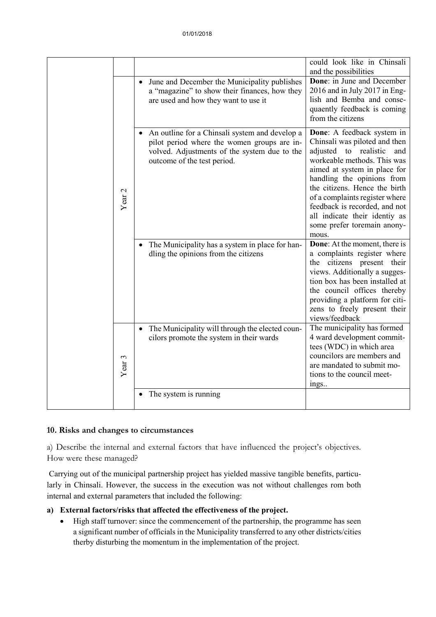|                   |                                                                                                                                                                                           | could look like in Chinsali<br>and the possibilities                                                                                                                                                                                                                                                                                                                  |
|-------------------|-------------------------------------------------------------------------------------------------------------------------------------------------------------------------------------------|-----------------------------------------------------------------------------------------------------------------------------------------------------------------------------------------------------------------------------------------------------------------------------------------------------------------------------------------------------------------------|
|                   | June and December the Municipality publishes<br>$\bullet$<br>a "magazine" to show their finances, how they<br>are used and how they want to use it                                        | Done: in June and December<br>2016 and in July 2017 in Eng-<br>lish and Bemba and conse-<br>quaently feedback is coming<br>from the citizens                                                                                                                                                                                                                          |
| Year <sub>2</sub> | An outline for a Chinsali system and develop a<br>$\bullet$<br>pilot period where the women groups are in-<br>volved. Adjustments of the system due to the<br>outcome of the test period. | Done: A feedback system in<br>Chinsali was piloted and then<br>adjusted to realistic<br>and<br>workeable methods. This was<br>aimed at system in place for<br>handling the opinions from<br>the citizens. Hence the birth<br>of a complaints register where<br>feedback is recorded, and not<br>all indicate their identiy as<br>some prefer toremain anony-<br>mous. |
|                   | The Municipality has a system in place for han-<br>$\bullet$<br>dling the opinions from the citizens                                                                                      | <b>Done:</b> At the moment, there is<br>a complaints register where<br>the citizens present their<br>views. Additionally a sugges-<br>tion box has been installed at<br>the council offices thereby<br>providing a platform for citi-<br>zens to freely present their<br>views/feedback                                                                               |
| Year <sub>3</sub> | The Municipality will through the elected coun-<br>$\bullet$<br>cilors promote the system in their wards                                                                                  | The municipality has formed<br>4 ward development commit-<br>tees (WDC) in which area<br>councilors are members and<br>are mandated to submit mo-<br>tions to the council meet-<br>ings                                                                                                                                                                               |
|                   | The system is running                                                                                                                                                                     |                                                                                                                                                                                                                                                                                                                                                                       |

#### **10. Risks and changes to circumstances**

a) Describe the internal and external factors that have influenced the project's objectives. How were these managed?

Carrying out of the municipal partnership project has yielded massive tangible benefits, particularly in Chinsali. However, the success in the execution was not without challenges rom both internal and external parameters that included the following:

#### **a) External factors/risks that affected the effectiveness of the project.**

• High staff turnover: since the commencement of the partnership, the programme has seen a significant number of officials in the Municipality transferred to any other districts/cities therby disturbing the momentum in the implementation of the project.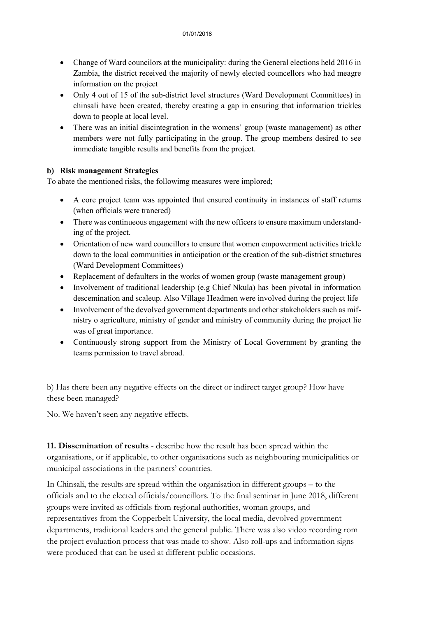- Change of Ward councilors at the municipality: during the General elections held 2016 in Zambia, the district received the majority of newly elected councellors who had meagre information on the project
- Only 4 out of 15 of the sub-district level structures (Ward Development Committees) in chinsali have been created, thereby creating a gap in ensuring that information trickles down to people at local level.
- There was an initial discintegration in the womens' group (waste management) as other members were not fully participating in the group. The group members desired to see immediate tangible results and benefits from the project.

#### **b) Risk management Strategies**

To abate the mentioned risks, the followimg measures were implored;

- A core project team was appointed that ensured continuity in instances of staff returns (when officials were tranered)
- There was continueous engagement with the new officers to ensure maximum understanding of the project.
- Orientation of new ward councillors to ensure that women empowerment activities trickle down to the local communities in anticipation or the creation of the sub-district structures (Ward Development Committees)
- Replacement of defaulters in the works of women group (waste management group)
- Involvement of traditional leadership (e.g Chief Nkula) has been pivotal in information descemination and scaleup. Also Village Headmen were involved during the project life
- Involvement of the devolved government departments and other stakeholders such as mifnistry o agriculture, ministry of gender and ministry of community during the project lie was of great importance.
- Continuously strong support from the Ministry of Local Government by granting the teams permission to travel abroad.

b) Has there been any negative effects on the direct or indirect target group? How have these been managed?

No. We haven't seen any negative effects.

**11. Dissemination of results** - describe how the result has been spread within the organisations, or if applicable, to other organisations such as neighbouring municipalities or municipal associations in the partners' countries.

In Chinsali, the results are spread within the organisation in different groups – to the officials and to the elected officials/councillors. To the final seminar in June 2018, different groups were invited as officials from regional authorities, woman groups, and representatives from the Copperbelt University, the local media, devolved government departments, traditional leaders and the general public. There was also video recording rom the project evaluation process that was made to show. Also roll-ups and information signs were produced that can be used at different public occasions.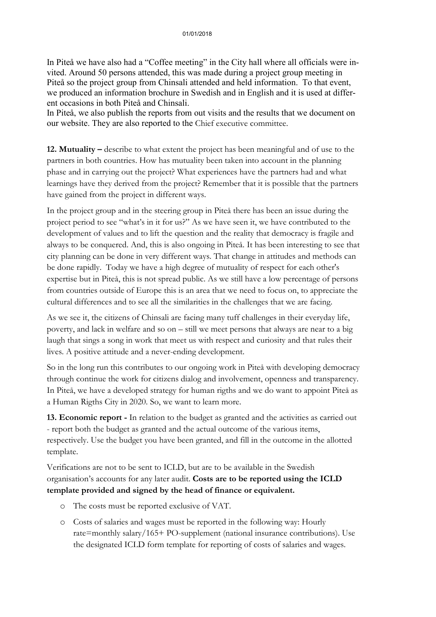In Piteå we have also had a "Coffee meeting" in the City hall where all officials were invited. Around 50 persons attended, this was made during a project group meeting in Piteå so the project group from Chinsali attended and held information. To that event, we produced an information brochure in Swedish and in English and it is used at different occasions in both Piteå and Chinsali.

In Piteå, we also publish the reports from out visits and the results that we document on our website. They are also reported to the Chief executive committee.

**12. Mutuality –** describe to what extent the project has been meaningful and of use to the partners in both countries. How has mutuality been taken into account in the planning phase and in carrying out the project? What experiences have the partners had and what learnings have they derived from the project? Remember that it is possible that the partners have gained from the project in different ways.

In the project group and in the steering group in Piteå there has been an issue during the project period to see "what's in it for us?" As we have seen it, we have contributed to the development of values and to lift the question and the reality that democracy is fragile and always to be conquered. And, this is also ongoing in Piteå. It has been interesting to see that city planning can be done in very different ways. That change in attitudes and methods can be done rapidly. Today we have a high degree of mutuality of respect for each other's expertise but in Piteå, this is not spread public. As we still have a low percentage of persons from countries outside of Europe this is an area that we need to focus on, to appreciate the cultural differences and to see all the similarities in the challenges that we are facing.

As we see it, the citizens of Chinsali are facing many tuff challenges in their everyday life, poverty, and lack in welfare and so on – still we meet persons that always are near to a big laugh that sings a song in work that meet us with respect and curiosity and that rules their lives. A positive attitude and a never-ending development.

So in the long run this contributes to our ongoing work in Piteå with developing democracy through continue the work for citizens dialog and involvement, openness and transparency. In Piteå, we have a developed strategy for human rigths and we do want to appoint Piteå as a Human Rigths City in 2020. So, we want to learn more.

**13. Economic report -** In relation to the budget as granted and the activities as carried out - report both the budget as granted and the actual outcome of the various items, respectively. Use the budget you have been granted, and fill in the outcome in the allotted template.

Verifications are not to be sent to ICLD, but are to be available in the Swedish organisation's accounts for any later audit. **Costs are to be reported using the ICLD template provided and signed by the head of finance or equivalent.**

- o The costs must be reported exclusive of VAT.
- o Costs of salaries and wages must be reported in the following way: Hourly rate=monthly salary/165+ PO-supplement (national insurance contributions). Use the designated ICLD form template for reporting of costs of salaries and wages.